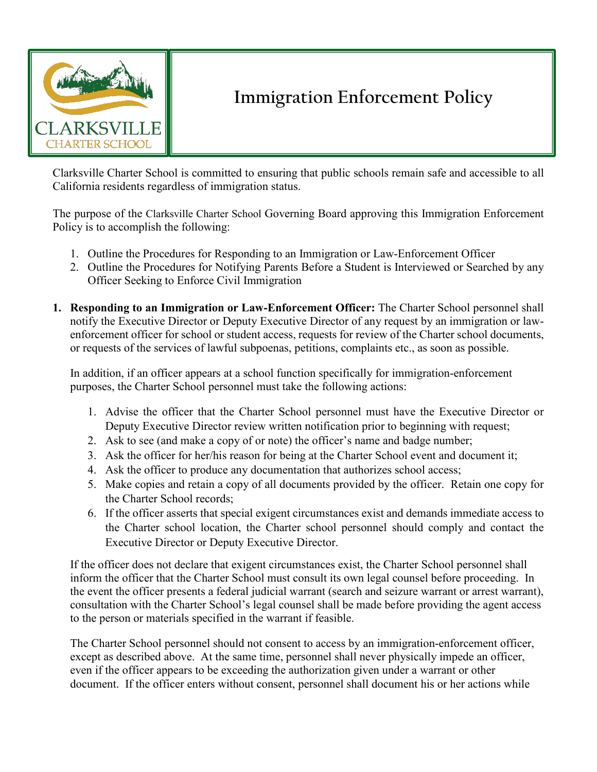

## **Immigration Enforcement Policy**

Clarksville Charter School is committed to ensuring that public schools remain safe and accessible to all California residents regardless of immigration status.

The purpose of the Clarksville Charter School Governing Board approving this Immigration Enforcement Policy is to accomplish the following:

- 1. Outline the Procedures for Responding to an Immigration or Law-Enforcement Officer
- 2. Outline the Procedures for Notifying Parents Before a Student is Interviewed or Searched by any Officer Seeking to Enforce Civil Immigration
- **1. Responding to an Immigration or Law-Enforcement Officer:** The Charter School personnel shall notify the Executive Director or Deputy Executive Director of any request by an immigration or lawenforcement officer for school or student access, requests for review of the Charter school documents, or requests of the services of lawful subpoenas, petitions, complaints etc., as soon as possible.

In addition, if an officer appears at a school function specifically for immigration-enforcement purposes, the Charter School personnel must take the following actions:

- 1. Advise the officer that the Charter School personnel must have the Executive Director or Deputy Executive Director review written notification prior to beginning with request;
- 2. Ask to see (and make a copy of or note) the officer's name and badge number;
- 3. Ask the officer for her/his reason for being at the Charter School event and document it;
- 4. Ask the officer to produce any documentation that authorizes school access;
- 5. Make copies and retain a copy of all documents provided by the officer. Retain one copy for the Charter School records;
- 6. If the officer asserts that special exigent circumstances exist and demands immediate access to the Charter school location, the Charter school personnel should comply and contact the Executive Director or Deputy Executive Director.

If the officer does not declare that exigent circumstances exist, the Charter School personnel shall inform the officer that the Charter School must consult its own legal counsel before proceeding. In the event the officer presents a federal judicial warrant (search and seizure warrant or arrest warrant), consultation with the Charter School's legal counsel shall be made before providing the agent access to the person or materials specified in the warrant if feasible.

The Charter School personnel should not consent to access by an immigration-enforcement officer, except as described above. At the same time, personnel shall never physically impede an officer, even if the officer appears to be exceeding the authorization given under a warrant or other document. If the officer enters without consent, personnel shall document his or her actions while